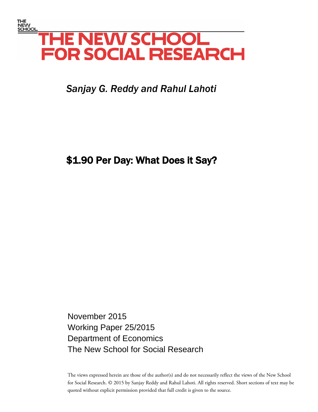# *Sanjay G. Reddy and Rahul Lahoti*

# \$1.90 Per Day: What Does it Say?

November 2015 Working Paper 25/2015 Department of Economics The New School for Social Research

The views expressed herein are those of the author(s) and do not necessarily reflect the views of the New School for Social Research. © 2015 by Sanjay Reddy and Rahul Lahoti. All rights reserved. Short sections of text may be quoted without explicit permission provided that full credit is given to the source.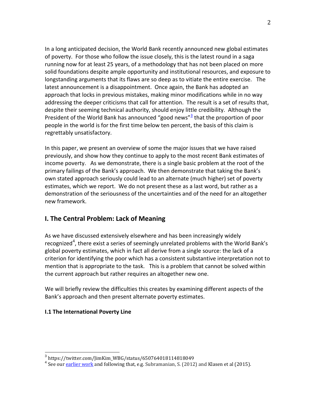In a long anticipated decision, the World Bank recently announced new global estimates of poverty. For those who follow the issue closely, this is the latest round in a saga running now for at least 25 years, of a methodology that has not been placed on more solid foundations despite ample opportunity and institutional resources, and exposure to longstanding arguments that its flaws are so deep as to vitiate the entire exercise. The latest announcement is a disappointment. Once again, the Bank has adopted an approach that locks in previous mistakes, making minor modifications while in no way addressing the deeper criticisms that call for attention. The result is a set of results that, despite their seeming technical authority, should enjoy little credibility. Although the President of the World Bank has announced "good news" $3$  that the proportion of poor people in the world is for the first time below ten percent, the basis of this claim is regrettably unsatisfactory.

In this paper, we present an overview of some the major issues that we have raised previously, and show how they continue to apply to the most recent Bank estimates of income poverty. As we demonstrate, there is a single basic problem at the root of the primary failings of the Bank's approach. We then demonstrate that taking the Bank's own stated approach seriously could lead to an alternate (much higher) set of poverty estimates, which we report. We do not present these as a last word, but rather as a demonstration of the seriousness of the uncertainties and of the need for an altogether new framework.

# **I. The Central Problem: Lack of Meaning**

As we have discussed extensively elsewhere and has been increasingly widely recognized<sup>[4](#page-1-1)</sup>, there exist a series of seemingly unrelated problems with the World Bank's global poverty estimates, which in fact all derive from a single source: the lack of a criterion for identifying the poor which has a consistent substantive interpretation not to mention that is appropriate to the task. This is a problem that cannot be solved within the current approach but rather requires an altogether new one.

We will briefly review the difficulties this creates by examining different aspects of the Bank's approach and then present alternate poverty estimates.

## **I.1 The International Poverty Line**

<span id="page-1-0"></span><sup>3</sup> https://twitter.com/JimKim\_WBG/status/650764018114818049

<span id="page-1-1"></span><sup>&</sup>lt;sup>4</sup> See our [earlier work](http://www.sanjayreddy.com/poverty-global-estimates/) and following that, e.g. Subramanian, S. (2012) and Klasen et al (2015).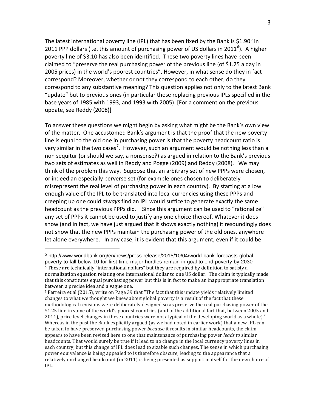The latest international poverty line (IPL) that has been fixed by the Bank is \$1.90<sup>[5](#page-2-0)</sup> in 2011 PPP dollars (i.e. this amount of purchasing power of US dollars in 2011<sup>[6](#page-2-1)</sup>). A higher poverty line of \$3.10 has also been identified. These two poverty lines have been claimed to "preserve the real purchasing power of the previous line (of \$1.25 a day in 2005 prices) in the world's poorest countries". However, in what sense do they in fact correspond? Moreover, whether or not they correspond to each other, do they correspond to any substantive meaning? This question applies not only to the latest Bank "update" but to previous ones (in particular those replacing previous IPLs specified in the base years of 1985 with 1993, and 1993 with 2005). [For a comment on the previous update, see Reddy (2008)]

To answer these questions we might begin by asking what might be the Bank's own view of the matter. One accustomed Bank's argument is that the proof that the new poverty line is equal to the old one in purchasing power is that the poverty headcount ratio is very similar in the two cases<sup>[7](#page-2-2)</sup>. However, such an argument would be nothing less than a non sequitur (or should we say, a nonsense?) as argued in relation to the Bank's previous two sets of estimates as well in Reddy and Pogge (2009) and Reddy (2008). We may think of the problem this way. Suppose that an arbitrary set of new PPPs were chosen, or indeed an especially perverse set (for example ones chosen to deliberately misrepresent the real level of purchasing power in each country). By starting at a low enough value of the IPL to be translated into local currencies using these PPPs and creeping up one could *always* find an IPL would suffice to generate exactly the same headcount as the previous PPPs did. Since this argument can be used to "rationalize" any set of PPPs it cannot be used to justify any one choice thereof. Whatever it does show (and in fact, we have just argued that it shows exactly nothing) it resoundingly does not show that the new PPPs maintain the purchasing power of the old ones, anywhere let alone everywhere. In any case, it is evident that this argument, even if it could be

<span id="page-2-1"></span><span id="page-2-0"></span> <sup>5</sup> http://www.worldbank.org/en/news/press-release/2015/10/04/world-bank-forecasts-globalpoverty-to-fall-below-10-for-first-time-major-hurdles-remain-in-goal-to-end-poverty-by-2030 <sup>6</sup> These are technically "international dollars" but they are required by definition to satisfy a normalization equation relating one international dollar to one US dollar. The claim is typically made that this constitutes equal purchasing power but this is in fact to make an inappropriate translation between a precise idea and a vague one.

<span id="page-2-2"></span><sup>7</sup> Ferreira et al (2015), write on Page 39 that "The fact that this update yields relatively limited changes to what we thought we knew about global poverty is a result of the fact that these methodological revisions were deliberately designed so as preserve the real purchasing power of the \$1.25 line in some of the world's poorest countries (and of the additional fact that, between 2005 and 2011), price level changes in these countries were not atypical of the developing world as a whole)." Whereas in the past the Bank explicitly argued (as we had noted in earlier work) that a new IPL can be taken to have preserved purchasing power *because* it results in similar headcounts, the claim appears to have been revised here to one that maintenance of purchasing power *leads to* similar headcounts. That would surely be true if it lead to no change in the local currency poverty lines in each country, but this change of IPL does lead to sizable such changes. The sense in which purchasing power equivalence is being appealed to is therefore obscure, leading to the appearance that a relatively unchanged headcount (in 2011) is being presented as support in itself for the new choice of IPL.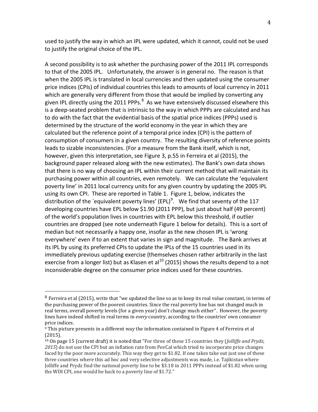used to justify the way in which an IPL were updated, which it cannot, could not be used to justify the original choice of the IPL.

A second possibility is to ask whether the purchasing power of the 2011 IPL corresponds to that of the 2005 IPL. Unfortunately, the answer is in general no. The reason is that when the 2005 IPL is translated in local currencies and then updated using the consumer price indices (CPIs) of individual countries this leads to amounts of local currency in 2011 which are generally very different from those that would be implied by converting any given IPL directly using the 2011 PPPs.<sup>[8](#page-3-0)</sup> As we have extensively discussed elsewhere this is a deep-seated problem that is intrinsic to the way in which PPPs are calculated and has to do with the fact that the evidential basis of the spatial price indices (PPPs) used is determined by the structure of the world economy in the year in which they are calculated but the reference point of a temporal price index (CPI) is the pattern of consumption of consumers in a given country. The resulting diversity of reference points leads to sizable inconsistencies. (For a measure from the Bank itself, which is not, however, given this interpretation, see Figure 3, p.55 in Ferreira et al (2015), the background paper released along with the new estimates). The Bank's own data shows that there is no way of choosing an IPL within their current method that will maintain its purchasing power within all countries, even remotely. We can calculate the 'equivalent poverty line' in 2011 local currency units for any given country by updating the 2005 IPL using its own CPI. These are reported in Table 1. Figure 1, below, indicates the distribution of the `equivalent poverty lines' (EPL)<sup>[9](#page-3-1)</sup>. We find that seventy of the 117 developing countries have EPL below \$1.90 (2011 PPP), but just about half (49 percent) of the world's population lives in countries with EPL below this threshold, if outlier countries are dropped (see note underneath Figure 1 below for details). This is a sort of median but not necessarily a happy one, insofar as the new chosen IPL is 'wrong everywhere' even if to an extent that varies in sign and magnitude. The Bank arrives at its IPL by using its preferred CPIs to update the IPLs of the 15 countries used in its immediately previous updating exercise (themselves chosen rather arbitrarily in the last exercise from a longer list) but as Klasen et al<sup>[10](#page-3-2)</sup> (2015) shows the results depend to a not inconsiderable degree on the consumer price indices used for these countries.

<span id="page-3-0"></span> $8$  Ferreira et al (2015), write that "we updated the line so as to keep its real value constant, in terms of the purchasing power of the poorest countries. Since the real poverty line has not changed much in real terms, overall poverty levels (for a given year) don't change much either". However, the poverty lines have indeed shifted in real terms in *every* country, according to the countries' own consumer price indices.

<span id="page-3-1"></span><sup>&</sup>lt;sup>9</sup> This picture presents in a different way the information contained in Figure 4 of Ferreira et al (2015).

<span id="page-3-2"></span><sup>10</sup> On page 15 (current draft) it is noted that "For three of these 15 countries they (*Jolliffe and Prydz, 2015*) do not use the CPI but an inflation rate from PovCal which tried to incorporate price changes faced by the poor more accurately. This way they get to \$1.82. If one takes take out just one of these three countries where this ad hoc and very selective adjustments was made, i.e. Tajikistan where Jolliffe and Prydz find the national poverty line to be \$3.18 in 2011 PPPs instead of \$1.82 when using the WDI CPI, one would be back to a poverty line of \$1.72."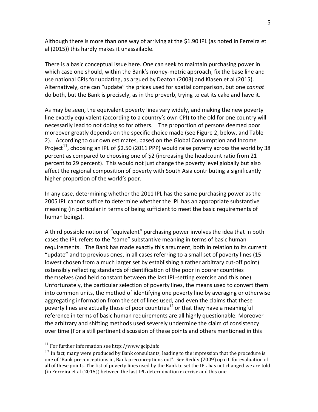Although there is more than one way of arriving at the \$1.90 IPL (as noted in Ferreira et al (2015)) this hardly makes it unassailable.

There is a basic conceptual issue here. One can seek to maintain purchasing power in which case one should, within the Bank's money-metric approach, fix the base line and use national CPIs for updating, as argued by Deaton (2003) and Klasen et al (2015). Alternatively, one can "update" the prices used for spatial comparison, but one *cannot* do both, but the Bank is precisely, as in the proverb, trying to eat its cake and have it.

As may be seen, the equivalent poverty lines vary widely, and making the new poverty line exactly equivalent (according to a country's own CPI) to the old for one country will necessarily lead to not doing so for others. The proportion of persons deemed poor moreover greatly depends on the specific choice made (see Figure 2, below, and Table 2). According to our own estimates, based on the Global Consumption and Income Project<sup>11</sup>, choosing an IPL of \$2.50 (2011 PPP) would raise poverty across the world by 38 percent as compared to choosing one of \$2 (increasing the headcount ratio from 21 percent to 29 percent). This would not just change the poverty level globally but also affect the regional composition of poverty with South Asia contributing a significantly higher proportion of the world's poor.

In any case, determining whether the 2011 IPL has the same purchasing power as the 2005 IPL cannot suffice to determine whether the IPL has an appropriate substantive meaning (in particular in terms of being sufficient to meet the basic requirements of human beings).

A third possible notion of "equivalent" purchasing power involves the idea that in both cases the IPL refers to the "same" substantive meaning in terms of basic human requirements. The Bank has made exactly this argument, both in relation to its current "update" and to previous ones, in all cases referring to a small set of poverty lines (15 lowest chosen from a much larger set by establishing a rather arbitrary cut-off point) ostensibly reflecting standards of identification of the poor in poorer countries themselves (and held constant between the last IPL-setting exercise and this one). Unfortunately, the particular selection of poverty lines, the means used to convert them into common units, the method of identifying one poverty line by averaging or otherwise aggregating information from the set of lines used, and even the claims that these poverty lines are actually those of poor countries<sup>[12](#page-4-1)</sup> or that they have a meaningful reference in terms of basic human requirements are all highly questionable. Moreover the arbitrary and shifting methods used severely undermine the claim of consistency over time (For a still pertinent discussion of these points and others mentioned in this

<span id="page-4-0"></span><sup>11</sup> For further information see http://www.gcip.info

<span id="page-4-1"></span><sup>&</sup>lt;sup>12</sup> In fact, many were produced by Bank consultants, leading to the impression that the procedure is one of "Bank preconceptions in, Bank preconceptions out". See Reddy (2009) op cit. for evaluation of all of these points. The list of poverty lines used by the Bank to set the IPL has not changed we are told (in Ferreira et al (2015)) between the last IPL determination exercise and this one.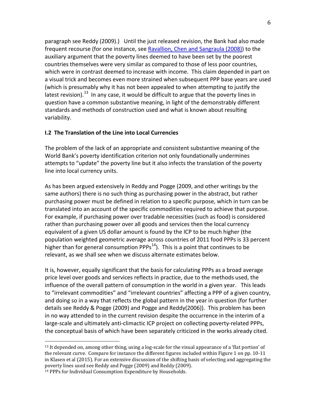paragraph see Reddy (2009).) Until the just released revision, the Bank had also made frequent recourse (for one instance, see [Ravallion, Chen and Sangraula \(2008\)\)](http://core.ac.uk/download/pdf/6645038.pdf) to the auxiliary argument that the poverty lines deemed to have been set by the poorest countries themselves were very similar as compared to those of less poor countries, which were in contrast deemed to increase with income. This claim depended in part on a visual trick and becomes even more strained when subsequent PPP base years are used (which is presumably why it has not been appealed to when attempting to justify the latest revision).<sup>[13](#page-5-0)</sup> In any case, it would be difficult to argue that the poverty lines in question have a common substantive meaning, in light of the demonstrably different standards and methods of construction used and what is known about resulting variability.

### **I.2 The Translation of the Line into Local Currencies**

The problem of the lack of an appropriate and consistent substantive meaning of the World Bank's poverty identification criterion not only foundationally undermines attempts to "update" the poverty line but it also infects the translation of the poverty line into local currency units.

As has been argued extensively in Reddy and Pogge (2009, and other writings by the same authors) there is no such thing as purchasing power in the abstract, but rather purchasing power must be defined in relation to a specific purpose, which in turn can be translated into an account of the specific commodities required to achieve that purpose. For example, if purchasing power over tradable necessities (such as food) is considered rather than purchasing power over all goods and services then the local currency equivalent of a given US dollar amount is found by the ICP to be much higher (the population weighted geometric average across countries of 2011 food PPPs is 33 percent higher than for general consumption PPPs<sup>[14](#page-5-1)</sup>). This is a point that continues to be relevant, as we shall see when we discuss alternate estimates below.

It is, however, equally significant that the basis for calculating PPPs as a broad average price level over goods and services reflects in practice, due to the methods used, the influence of the overall pattern of consumption in the world in a given year. This leads to "irrelevant commodities" and "irrelevant countries" affecting a PPP of a given country, and doing so in a way that reflects the global pattern in the year in question (for further details see Reddy & Pogge (2009) and Pogge and Reddy(2006)). This problem has been in no way attended to in the current revision despite the occurrence in the interim of a large-scale and ultimately anti-climactic ICP project on collecting poverty-related PPPs, the conceptual basis of which have been separately criticized in the works already cited.

<span id="page-5-0"></span><sup>&</sup>lt;sup>13</sup> It depended on, among other thing, using a log-scale for the visual appearance of a 'flat portion' of the relevant curve. Compare for instance the different figures included within Figure 1 on pp. 10-11 in Klasen et al (2015). For an extensive discussion of the shifting basis of selecting and aggregating the poverty lines used see Reddy and Pogge (2009) and Reddy (2009).

<span id="page-5-1"></span><sup>14</sup> PPPs for Individual Consumption Expenditure by Households.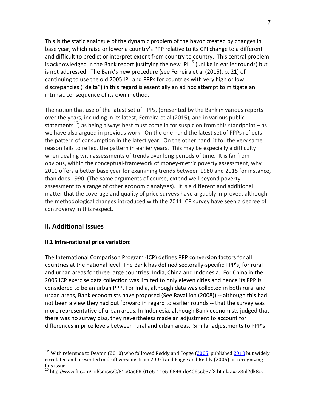This is the static analogue of the dynamic problem of the havoc created by changes in base year, which raise or lower a country's PPP relative to its CPI change to a different and difficult to predict or interpret extent from country to country. This central problem is acknowledged in the Bank report justifying the new IPL $^{15}$  $^{15}$  $^{15}$  (unlike in earlier rounds) but is not addressed. The Bank's new procedure (see Ferreira et al (2015), p. 21) of continuing to use the old 2005 IPL and PPPs for countries with very high or low discrepancies ("delta") in this regard is essentially an ad hoc attempt to mitigate an intrinsic consequence of its own method.

The notion that use of the latest set of PPPs, (presented by the Bank in various reports over the years, including in its latest, Ferreira et al (2015), and in various public statements<sup>[16](#page-6-1)</sup>) as being always best must come in for suspicion from this standpoint – as we have also argued in previous work. On the one hand the latest set of PPPs reflects the pattern of consumption in the latest year. On the other hand, it for the very same reason fails to reflect the pattern in earlier years. This may be especially a difficulty when dealing with assessments of trends over long periods of time. It is far from obvious, within the conceptual-framework of money-metric poverty assessment, why 2011 offers a better base year for examining trends between 1980 and 2015 for instance, than does 1990. (The same arguments of course, extend well beyond poverty assessment to a range of other economic analyses). It is a different and additional matter that the coverage and quality of price surveys have arguably improved, although the methodological changes introduced with the 2011 ICP survey have seen a degree of controversy in this respect.

# **II. Additional Issues**

## **II.1 Intra-national price variation:**

The International Comparison Program (ICP) defines PPP conversion factors for all countries at the national level. The Bank has defined sectorally-specific PPP's, for rural and urban areas for three large countries: India, China and Indonesia. For China in the 2005 ICP exercise data collection was limited to only eleven cities and hence its PPP is considered to be an urban PPP. For India, although data was collected in both rural and urban areas, Bank economists have proposed (See Ravallion (2008)) -- although this had not been a view they had put forward in regard to earlier rounds -- that the survey was more representative of urban areas. In Indonesia, although Bank economists judged that there was no survey bias, they nevertheless made an adjustment to account for differences in price levels between rural and urban areas. Similar adjustments to PPP's

<span id="page-6-0"></span><sup>&</sup>lt;sup>15</sup> With reference to Deaton (2010) who followed Reddy and Pogge [\(2005,](http://www.columbia.edu/%7Esr793/count.pdf) published [2010](https://static.squarespace.com/static/51b8d8a3e4b012fbeaff36db/53066dfee4b043fee9afb799/53066dfee4b043fee9afb7a2/1341181756357/90Hownottocount%20SV.pdf) but widely circulated and presented in draft versions from 2002) and Pogge and Reddy (2006) in recognizing this issue.

<span id="page-6-1"></span><sup>16</sup> http://www.ft.com/intl/cms/s/0/81b0ac66-61e5-11e5-9846-de406ccb37f2.html#axzz3nl2dk8oz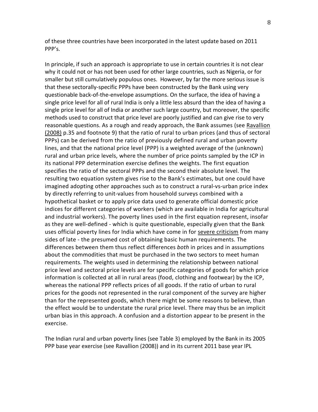of these three countries have been incorporated in the latest update based on 2011 PPP's.

In principle, if such an approach is appropriate to use in certain countries it is not clear why it could not or has not been used for other large countries, such as Nigeria, or for smaller but still cumulatively populous ones. However, by far the more serious issue is that these sectorally-specific PPPs have been constructed by the Bank using very questionable back-of-the-envelope assumptions. On the surface, the idea of having a single price level for all of rural India is only a little less absurd than the idea of having a single price level for all of India or another such large country, but moreover, the specific methods used to construct that price level are poorly justified and can give rise to very reasonable questions. As a rough and ready approach, the Bank assumes (see Ravallion [\(2008\)](http://www.epw.in/commentary/global-perspective-poverty-india.html) p.35 and footnote 9) that the ratio of rural to urban prices (and thus of sectoral PPPs) can be derived from the ratio of previously defined rural and urban poverty lines, and that the national price level (PPP) is a weighted average of the (unknown) rural and urban price levels, where the number of price points sampled by the ICP in its national PPP determination exercise defines the weights. The first equation specifies the ratio of the sectoral PPPs and the second their absolute level. The resulting two equation system gives rise to the Bank's estimates, but one could have imagined adopting other approaches such as to construct a rural-vs-urban price index by directly referring to unit-values from household surveys combined with a hypothetical basket or to apply price data used to generate official domestic price indices for different categories of workers (which are available in India for agricultural and industrial workers). The poverty lines used in the first equation represent, insofar as they are well-defined - which is quite questionable, especially given that the Bank uses official poverty lines for India which have come in for [severe criticism](http://www.environmentportal.in/files/file/Poverty_0.pdf) from many sides of late - the presumed cost of obtaining basic human requirements. The differences between them thus reflect differences *both* in prices and in assumptions about the commodities that must be purchased in the two sectors to meet human requirements. The weights used in determining the relationship between national price level and sectoral price levels are for specific categories of goods for which price information is collected at all in rural areas (food, clothing and footwear) by the ICP, whereas the national PPP reflects prices of all goods. If the ratio of urban to rural prices for the goods not represented in the rural component of the survey are higher than for the represented goods, which there might be some reasons to believe, than the effect would be to understate the rural price level. There may thus be an implicit urban bias in this approach. A confusion and a distortion appear to be present in the exercise.

The Indian rural and urban poverty lines (see Table 3) employed by the Bank in its 2005 PPP base year exercise (see Ravallion (2008)) and in its current 2011 base year IPL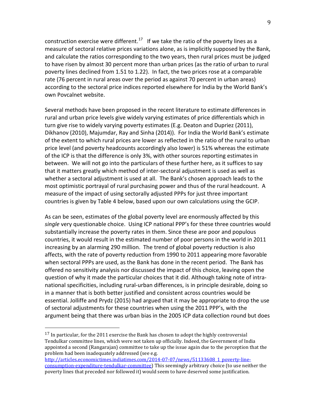construction exercise were different.<sup>[17](#page-8-0)</sup> If we take the ratio of the poverty lines as a measure of sectoral relative prices variations alone, as is implicitly supposed by the Bank, and calculate the ratios corresponding to the two years, then rural prices must be judged to have risen by almost 30 percent more than urban prices (as the ratio of urban to rural poverty lines declined from 1.51 to 1.22). In fact, the two prices rose at a comparable rate (76 percent in rural areas over the period as against 70 percent in urban areas) according to the sectoral price indices reported elsewhere for India by the World Bank's own Povcalnet website.

Several methods have been proposed in the recent literature to estimate differences in rural and urban price levels give widely varying estimates of price differentials which in turn give rise to widely varying poverty estimates (E.g. Deaton and Dupriez (2011), Dikhanov (2010), Majumdar, Ray and Sinha (2014)). For India the World Bank's estimate of the extent to which rural prices are lower as reflected in the ratio of the rural to urban price level (and poverty headcounts accordingly also lower) is 51% whereas the estimate of the ICP is that the difference is only 3%, with other sources reporting estimates in between. We will not go into the particulars of these further here, as it suffices to say that it matters greatly which method of inter-sectoral adjustment is used as well as whether a sectoral adjustment is used at all. The Bank's chosen approach leads to the most optimistic portrayal of rural purchasing power and thus of the rural headcount. A measure of the impact of using sectorally adjusted PPPs for just three important countries is given by Table 4 below, based upon our own calculations using the GCIP.

As can be seen, estimates of the global poverty level are enormously affected by this *single* very questionable choice. Using ICP national PPP's for these three countries would substantially increase the poverty rates in them. Since these are poor and populous countries, it would result in the estimated number of poor persons in the world in 2011 increasing by an alarming 290 million. The trend of global poverty reduction is also affects, with the rate of poverty reduction from 1990 to 2011 appearing more favorable when sectoral PPPs are used, as the Bank has done in the recent period. The Bank has offered no sensitivity analysis nor discussed the impact of this choice, leaving open the question of why it made the particular choices that it did. Although taking note of intranational specificities, including rural-urban differences, is in principle desirable, doing so in a manner that is both better justified and consistent across countries would be essential. Jolliffe and Prydz (2015) had argued that it may be appropriate to drop the use of sectoral adjustments for these countries when using the 2011 PPP's, with the argument being that there was urban bias in the 2005 ICP data collection round but does

<span id="page-8-0"></span> $17$  In particular, for the 2011 exercise the Bank has chosen to adopt the highly controversial Tendulkar committee lines, which were not taken up officially. Indeed, the Government of India appointed a second (Rangarajan) committee to take up the issue again due to the perception that the problem had been inadequately addressed (see e.g.

[http://articles.economictimes.indiatimes.com/2014-07-07/news/51133608\\_1\\_poverty-line](http://articles.economictimes.indiatimes.com/2014-07-07/news/51133608_1_poverty-line-consumption-expenditure-tendulkar-committee)[consumption-expenditure-tendulkar-committee\)](http://articles.economictimes.indiatimes.com/2014-07-07/news/51133608_1_poverty-line-consumption-expenditure-tendulkar-committee) This seemingly arbitrary choice (to use neither the poverty lines that preceded nor followed it) would seem to have deserved some justification.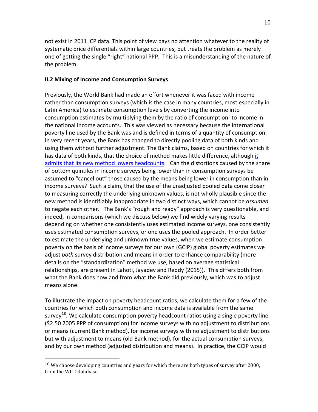not exist in 2011 ICP data. This point of view pays no attention whatever to the reality of systematic price differentials within large countries, but treats the problem as merely one of getting the single "right" national PPP. This is a misunderstanding of the nature of the problem.

#### **II.2 Mixing of Income and Consumption Surveys**

Previously, the World Bank had made an effort whenever it was faced with income rather than consumption surveys (which is the case in many countries, most especially in Latin America) to estimate consumption levels by converting the income into consumption estimates by multiplying them by the ratio of consumption- to income in the national income accounts. This was viewed as necessary because the international poverty line used by the Bank was and is defined in terms of a quantity of consumption. In very recent years, the Bank has changed to directly pooling data of both kinds and using them without further adjustment. The Bank claims, based on countries for which it has data of both kinds, that the choice of method makes little difference, although it [admits that its new method lowers headcounts.](https://openknowledge.worldbank.org/bitstream/handle/10986/14047/wps3341.pdf?sequence=1) Can the distortions caused by the share of bottom quintiles in income surveys being lower than in consumption surveys be assumed to "cancel out" those caused by the means being lower in consumption than in income surveys? Such a claim, that the use of the unadjusted pooled data come closer to measuring correctly the underlying unknown values, is not wholly plausible since the new method is identifiably inappropriate in two distinct ways, which cannot be *assumed* to negate each other. The Bank's "rough and ready" approach is very questionable, and indeed, in comparisons (which we discuss below) we find widely varying results depending on whether one consistently uses estimated income surveys, one consistently uses estimated consumption surveys, or one uses the pooled approach. In order better to estimate the underlying and unknown true values, when we estimate consumption poverty on the basis of income surveys for our own (GCIP) global poverty estimates we adjust *both* survey distribution and means in order to enhance comparability (more details on the "standardization" method we use, based on average statistical relationships, are present in Lahoti, Jayadev and Reddy (2015)). This differs both from what the Bank does now and from what the Bank did previously, which was to adjust means alone.

To illustrate the impact on poverty headcount ratios, we calculate them for a few of the countries for which both consumption and income data is available from the same survey<sup>[18](#page-9-0)</sup>. We calculate consumption poverty headcount ratios using a single poverty line (\$2.50 2005 PPP of consumption) for income surveys with no adjustment to distributions or means (current Bank method), for income surveys with no adjustment to distributions but with adjustment to means (old Bank method), for the actual consumption surveys, and by our own method (adjusted distribution and means). In practice, the GCIP would

<span id="page-9-0"></span><sup>&</sup>lt;sup>18</sup> We choose developing countries and years for which there are both types of survey after 2000, from the WIID database.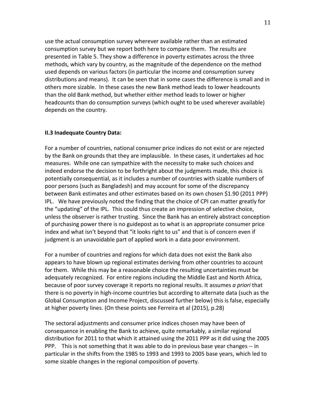use the actual consumption survey wherever available rather than an estimated consumption survey but we report both here to compare them. The results are presented in Table 5. They show a difference in poverty estimates across the three methods, which vary by country, as the magnitude of the dependence on the method used depends on various factors (in particular the income and consumption survey distributions and means). It can be seen that in some cases the difference is small and in others more sizable. In these cases the new Bank method leads to lower headcounts than the old Bank method, but whether either method leads to lower or higher headcounts than do consumption surveys (which ought to be used wherever available) depends on the country.

#### **II.3 Inadequate Country Data:**

For a number of countries, national consumer price indices do not exist or are rejected by the Bank on grounds that they are implausible. In these cases, it undertakes ad hoc measures. While one can sympathize with the necessity to make such choices and indeed endorse the decision to be forthright about the judgments made, this choice is potentially consequential, as it includes a number of countries with sizable numbers of poor persons (such as Bangladesh) and may account for some of the discrepancy between Bank estimates and other estimates based on its own chosen \$1.90 (2011 PPP) IPL. We have previously noted the finding that the choice of CPI can matter greatly for the "updating" of the IPL. This could thus create an impression of selective choice, unless the observer is rather trusting. Since the Bank has an entirely abstract conception of purchasing power there is no guidepost as to what is an appropriate consumer price index and what isn't beyond that "it looks right to us" and that is of concern even if judgment is an unavoidable part of applied work in a data poor environment.

For a number of countries and regions for which data does not exist the Bank also appears to have blown up regional estimates deriving from other countries to account for them. While this may be a reasonable choice the resulting uncertainties must be adequately recognized. For entire regions including the Middle East and North Africa, because of poor survey coverage it reports no regional results. It assumes *a priori* that there is no poverty in high-income countries but according to alternate data (such as the Global Consumption and Income Project, discussed further below) this is false, especially at higher poverty lines. (On these points see Ferreira et al (2015), p.28)

The sectoral adjustments and consumer price indices chosen may have been of consequence in enabling the Bank to achieve, quite remarkably, a similar regional distribution for 2011 to that which it attained using the 2011 PPP as it did using the 2005 PPP. This is not something that it was able to do in previous base year changes -- in particular in the shifts from the 1985 to 1993 and 1993 to 2005 base years, which led to some sizable changes in the regional composition of poverty.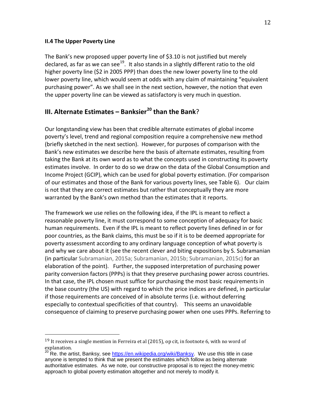## **II.4 The Upper Poverty Line**

The Bank's new proposed upper poverty line of \$3.10 is not justified but merely declared, as far as we can see<sup>[19](#page-11-0)</sup>. It also stands in a slightly different ratio to the old higher poverty line (\$2 in 2005 PPP) than does the new lower poverty line to the old lower poverty line, which would seem at odds with any claim of maintaining "equivalent purchasing power". As we shall see in the next section, however, the notion that even the upper poverty line can be viewed as satisfactory is very much in question.

# **III. Alternate Estimates – Banksier[20](#page-11-1) than the Bank**?

Our longstanding view has been that credible alternate estimates of global income poverty's level, trend and regional composition require a comprehensive new method (briefly sketched in the next section). However, for purposes of comparison with the Bank's new estimates we describe here the basis of alternate estimates, resulting from taking the Bank at its own word as to what the concepts used in constructing its poverty estimates involve. In order to do so we draw on the data of the Global Consumption and Income Project (GCIP), which can be used for global poverty estimation. (For comparison of our estimates and those of the Bank for various poverty lines, see Table 6). Our claim is not that they are correct estimates but rather that conceptually they are more warranted by the Bank's own method than the estimates that it reports.

The framework we use relies on the following idea, if the IPL is meant to reflect a reasonable poverty line, it must correspond to some conception of adequacy for basic human requirements. Even if the IPL is meant to reflect poverty lines defined in or for poor countries, as the Bank claims, this must be so if it is to be deemed appropriate for poverty assessment according to any ordinary language conception of what poverty is and why we care about it (see the recent clever and biting expositions by S. Subramanian (in particular Subramanian, 2015a; Subramanian, 2015b; Subramanian, 2015c) for an elaboration of the point). Further, the supposed interpretation of purchasing power parity conversion factors (PPPs) is that they preserve purchasing power across countries. In that case, the IPL chosen must suffice for purchasing the most basic requirements in the base country (the US) with regard to which the price indices are defined, in particular if those requirements are conceived of in absolute terms (i.e. without deferring especially to contextual specificities of that country). This seems an unavoidable consequence of claiming to preserve purchasing power when one uses PPPs. Referring to

<span id="page-11-0"></span><sup>&</sup>lt;sup>19</sup> It receives a single mention in Ferreira et al  $(2015)$ , op cit, in footnote 6, with no word of

<span id="page-11-1"></span>explanation.<br><sup>20</sup> Re. the artist, Banksy, see <u>https://en.wikipedia.org/wiki/Banksy</u>. We use this title in case anyone is tempted to think that we present the estimates which follow as being alternate authoritative estimates. As we note, our constructive proposal is to reject the money-metric approach to global poverty estimation altogether and not merely to modify it.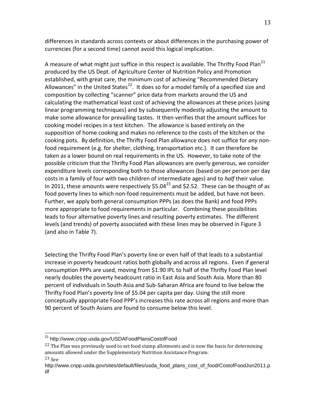differences in standards across contexts or about differences in the purchasing power of currencies (for a second time) cannot avoid this logical implication.

A measure of what might just suffice in this respect is available. The Thrifty Food Plan<sup>[21](#page-12-0)</sup> produced by the US Dept. of Agriculture Center of Nutrition Policy and Promotion established, with great care, the minimum cost of achieving "Recommended Dietary Allowances" in the United States<sup>[22](#page-12-1)</sup>. It does so for a model family of a specified size and composition by collecting "scanner" price data from markets around the US and calculating the mathematical least cost of achieving the allowances at these prices (using linear programming techniques) and by subsequently modestly adjusting the amount to make some allowance for prevailing tastes. It then verifies that the amount suffices for cooking model recipes in a test kitchen. The allowance is based entirely on the supposition of home cooking and makes no reference to the costs of the kitchen or the cooking pots. By definition, the Thrifty Food Plan allowance does not suffice for *any* nonfood requirement (e.g. for shelter, clothing, transportation etc.). It can therefore be taken as a lower bound on real requirements in the US. However, to take note of the possible criticism that the Thrifty Food Plan allowances are overly generous, we consider expenditure levels corresponding both to those allowances (based on per person per day costs in a family of four with two children of intermediate ages) and to *half* their value. In 2011, these amounts were respectively  $$5.04^{23}$  $$5.04^{23}$  $$5.04^{23}$  and  $$2.52$ . These can be thought of as food poverty lines to which non-food requirements must be added, but have not been. Further, we apply both general consumption PPPs (as does the Bank) and food PPPs more appropriate to food requirements in particular. Combining these possibilities leads to four alternative poverty lines and resulting poverty estimates. The different levels (and trends) of poverty associated with these lines may be observed in Figure 3 (and also in Table 7).

Selecting the Thrifty Food Plan's poverty line or even half of that leads to a substantial increase in poverty headcount ratios both globally and across all regions. Even if general consumption PPPs are used, moving from \$1.90 IPL to half of the Thrifty Food Plan level nearly doubles the poverty headcount ratio in East Asia and South Asia. More than 80 percent of individuals in South Asia and Sub-Saharan Africa are found to live below the Thrifty Food Plan's poverty line of \$5.04 per capita per day. Using the still more conceptually appropriate Food PPP's increases this rate across all regions and more than 90 percent of South Asians are found to consume below this level.

- <span id="page-12-0"></span><sup>21</sup> http://www.cnpp.usda.gov/USDAFoodPlansCostofFood
- <span id="page-12-1"></span><sup>22</sup> The Plan was previously used to set food stamp allotments and is now the basis for determining amounts allowed under the Supplementary Nutrition Assistance Program. <sup>23</sup> See

<span id="page-12-2"></span>http://www.cnpp.usda.gov/sites/default/files/usda\_food\_plans\_cost\_of\_food/CostofFoodJun2011.p df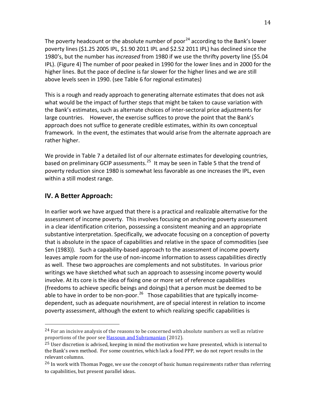The poverty headcount or the absolute number of poor<sup>[24](#page-13-0)</sup> according to the Bank's lower poverty lines (\$1.25 2005 IPL, \$1.90 2011 IPL and \$2.52 2011 IPL) has declined since the 1980's, but the number has *increased* from 1980 if we use the thrifty poverty line (\$5.04 IPL). (Figure 4) The number of poor peaked in 1990 for the lower lines and in 2000 for the higher lines. But the pace of decline is far slower for the higher lines and we are still above levels seen in 1990. (see Table 6 for regional estimates)

This is a rough and ready approach to generating alternate estimates that does not ask what would be the impact of further steps that might be taken to cause variation with the Bank's estimates, such as alternate choices of inter-sectoral price adjustments for large countries. However, the exercise suffices to prove the point that the Bank's approach does not suffice to generate credible estimates, within its own conceptual framework. In the event, the estimates that would arise from the alternate approach are rather higher.

We provide in Table 7 a detailed list of our alternate estimates for developing countries, based on preliminary GCIP assessments.<sup>[25](#page-13-1)</sup> It may be seen in Table 5 that the trend of poverty reduction since 1980 is somewhat less favorable as one increases the IPL, even within a still modest range.

# **IV. A Better Approach:**

In earlier work we have argued that there is a practical and realizable alternative for the assessment of income poverty. This involves focusing on anchoring poverty assessment in a clear identification criterion, possessing a consistent meaning and an appropriate substantive interpretation. Specifically, we advocate focusing on a conception of poverty that is absolute in the space of capabilities and relative in the space of commodities (see Sen (1983)). Such a capability-based approach to the assessment of income poverty leaves ample room for the use of non-income information to assess capabilities directly as well. These two approaches are complements and not substitutes. In various prior writings we have sketched what such an approach to assessing income poverty would involve. At its core is the idea of fixing one or more set of reference capabilities (freedoms to achieve specific beings and doings) that a person must be deemed to be able to have in order to be non-poor.<sup>[26](#page-13-2)</sup> Those capabilities that are typically incomedependent, such as adequate nourishment, are of special interest in relation to income poverty assessment, although the extent to which realizing specific capabilities is

<span id="page-13-0"></span> $24$  For an incisive analysis of the reasons to be concerned with absolute numbers as well as relative proportions of the poor see [Hassoun and Subramanian](http://philpapers.org/rec/HASVPP) (2012).

<span id="page-13-1"></span><sup>&</sup>lt;sup>25</sup> User discretion is advised, keeping in mind the motivation we have presented, which is internal to the Bank's own method. For some countries, which lack a food PPP, we do not report results in the relevant columns.

<span id="page-13-2"></span><sup>&</sup>lt;sup>26</sup> In work with Thomas Pogge, we use the concept of basic human requirements rather than referring to capabilities, but present parallel ideas.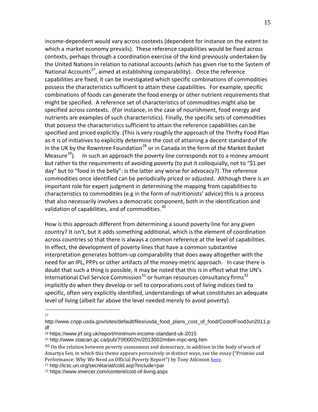income-dependent would vary across contexts (dependent for instance on the extent to which a market economy prevails). These reference capabilities would be fixed across contexts, perhaps through a coordination exercise of the kind previously undertaken by the United Nations in relation to national accounts (which has given rise to the System of National Accounts<sup>27</sup>, aimed at establishing comparability). Once the reference capabilities are fixed, it can be investigated which specific combinations of commodities possess the characteristics sufficient to attain these capabilities. For example, specific combinations of foods can generate the food energy or other nutrient requirements that might be specified. A reference set of characteristics of commodities might also be specified across contexts. (For instance, in the case of nourishment, food energy and nutrients are examples of such characteristics). Finally, the specific sets of commodities that possess the characteristics sufficient to attain the reference capabilities can be specified and priced explicitly. (This is very roughly the approach of the Thrifty Food Plan as it is of initiatives to explicitly determine the cost of attaining a decent standard of life in the UK by the Rowntree Foundation<sup>[28](#page-14-1)</sup> or in Canada in the form of the Market Basket Measure<sup>[29](#page-14-2)</sup>). In such an approach the poverty line corresponds not to a money amount but rather to the requirements of avoiding poverty (to put it colloquially, not to "\$1 per day" but to "food in the belly": is the latter any worse for advocacy?). The reference commodities once identified can be periodically priced or adjusted. Although there is an important role for expert judgment in determining the mapping from capabilities to characteristics to commodities (e.g in the form of nutritionists' advice) this is a process that also necessarily involves a democratic component, both in the identification and validation of capabilities, and of commodities.<sup>[30](#page-14-3)</sup>

How is this approach different from determining a sound poverty line for any given country? It isn't, but it adds something additional, which is the element of coordination across countries so that there is always a common reference at the level of capabilities. In effect, the development of poverty lines that have a common substantive interpretation generates bottom-up comparability that does away altogether with the need for an IPL, PPPs or other artifacts of the money-metric approach. In case there is doubt that such a thing is possible, it may be noted that this is in effect what the UN's International Civil Service Commission<sup>[31](#page-14-4)</sup> or human resources consultancy firms<sup>[32](#page-14-5)</sup> implicitly do when they develop or sell to corporations cost of living indices tied to specific, often very explicitly identified, understandings of what constitutes an adequate level of living (albeit far above the level needed merely to avoid poverty).

 <sup>27</sup>

<span id="page-14-0"></span>http://www.cnpp.usda.gov/sites/default/files/usda\_food\_plans\_cost\_of\_food/CostofFoodJun2011.p df

<span id="page-14-1"></span><sup>28</sup> https://www.jrf.org.uk/report/minimum-income-standard-uk-2015

<span id="page-14-2"></span><sup>29</sup> http://www.statcan.gc.ca/pub/75f0002m/2013002/mbm-mpc-eng.htm

<span id="page-14-3"></span><sup>&</sup>lt;sup>30</sup> On the relation between poverty assessment and democracy, in addition to the body of work of Amartya Sen, in which this theme appears pervasively in distinct ways, see the essay ("Promise and Performance: Why We Need an Official Poverty Report") by Tony Atkinso[n here.](http://www.amazon.com/Living-As-Equals-Paul-Barker/dp/0198295189)

<span id="page-14-4"></span><sup>31</sup> http://icsc.un.org/secretariat/cold.asp?include=par

<span id="page-14-5"></span><sup>32</sup> https://www.imercer.com/content/cost-of-living.aspx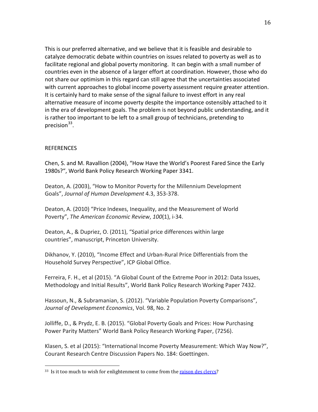This is our preferred alternative, and we believe that it is feasible and desirable to catalyze democratic debate within countries on issues related to poverty as well as to facilitate regional and global poverty monitoring. It can begin with a small number of countries even in the absence of a larger effort at coordination. However, those who do not share our optimism in this regard can still agree that the uncertainties associated with current approaches to global income poverty assessment require greater attention. It is certainly hard to make sense of the signal failure to invest effort in any real alternative measure of income poverty despite the importance ostensibly attached to it in the era of development goals. The problem is not beyond public understanding, and it is rather too important to be left to a small group of technicians, pretending to precision $33$ .

### REFERENCES

Chen, S. and M. Ravallion (2004), "How Have the World's Poorest Fared Since the Early 1980s?", World Bank Policy Research Working Paper 3341.

Deaton, A. (2003), "How to Monitor Poverty for the Millennium Development Goals", *Journal of Human Development* 4.3, 353-378.

Deaton, A. (2010) "Price Indexes, Inequality, and the Measurement of World Poverty", *The American Economic Review*, *100*(1), i-34.

Deaton, A., & Dupriez, O. (2011), "Spatial price differences within large countries", manuscript, Princeton University.

Dikhanov, Y. (2010), "Income Effect and Urban-Rural Price Differentials from the Household Survey Perspective", ICP Global Office.

Ferreira, F. H., et al (2015). "A Global Count of the Extreme Poor in 2012: Data Issues, Methodology and Initial Results", World Bank Policy Research Working Paper 7432.

Hassoun, N., & Subramanian, S. (2012). "Variable Population Poverty Comparisons", *Journal of Development Economics*, Vol. 98, No. 2

Jolliffe, D., & Prydz, E. B. (2015). "Global Poverty Goals and Prices: How Purchasing Power Parity Matters" World Bank Policy Research Working Paper, (7256).

Klasen, S. et al (2015): "International Income Poverty Measurement: Which Way Now?", Courant Research Centre Discussion Papers No. 184: Goettingen.

<span id="page-15-0"></span><sup>&</sup>lt;sup>33</sup> Is it too much to wish for enlightenment to come from the [raison des clercs?](https://en.wiktionary.org/wiki/trahison_des_clercs)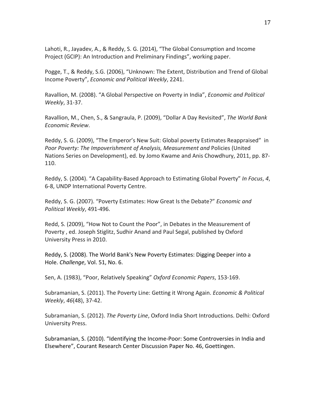Lahoti, R., Jayadev, A., & Reddy, S. G. (2014), "The Global Consumption and Income Project (GCIP): An Introduction and Preliminary Findings", working paper.

Pogge, T., & Reddy, S.G. (2006), "Unknown: The Extent, Distribution and Trend of Global Income Poverty", *Economic and Political Weekly*, 2241.

Ravallion, M. (2008). "A Global Perspective on Poverty in India", *Economic and Political Weekly*, 31-37.

Ravallion, M., Chen, S., & Sangraula, P. (2009), "Dollar A Day Revisited", *The World Bank Economic Review*.

Reddy, S. G. (2009), "The Emperor's New Suit: Global poverty Estimates Reappraised" in *Poor Poverty: The Impoverishment of Analysis, Measurement and* Policies (United Nations Series on Development), ed. by Jomo Kwame and Anis Chowdhury, 2011, pp. 87- 110.

Reddy, S. (2004). "A Capability-Based Approach to Estimating Global Poverty" *In Focus*, *4*, 6-8, UNDP International Poverty Centre.

Reddy, S. G. (2007). "Poverty Estimates: How Great Is the Debate?" *Economic and Political Weekly*, 491-496.

Redd, S. (2009), "How Not to Count the Poor", in Debates in the Measurement of Poverty , ed. Joseph Stiglitz, Sudhir Anand and Paul Segal, published by Oxford University Press in 2010.

Reddy, S. (2008). The World Bank's New Poverty Estimates: Digging Deeper into a Hole. *Challenge*, Vol. 51, No. 6.

Sen, A. (1983), "Poor, Relatively Speaking" *Oxford Economic Papers*, 153-169.

Subramanian, S. (2011). The Poverty Line: Getting it Wrong Again. *Economic & Political Weekly*, *46*(48), 37-42.

Subramanian, S. (2012). *The Poverty Line*, Oxford India Short Introductions. Delhi: Oxford University Press.

Subramanian, S. (2010). "Identifying the Income-Poor: Some Controversies in India and Elsewhere", Courant Research Center Discussion Paper No. 46, Goettingen.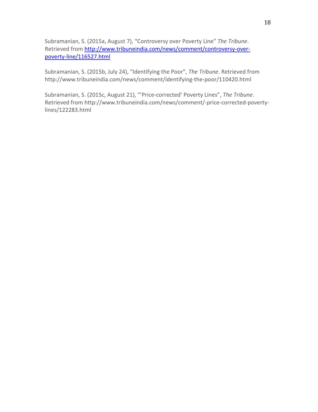Subramanian, S. (2015a, August 7), "Controversy over Poverty Line" *The Tribune*. Retrieved fro[m http://www.tribuneindia.com/news/comment/controversy-over](http://www.tribuneindia.com/news/comment/controversy-over-poverty-line/116527.html)[poverty-line/116527.html](http://www.tribuneindia.com/news/comment/controversy-over-poverty-line/116527.html)

Subramanian, S. (2015b, July 24), "Identifying the Poor", *The Tribune*. Retrieved from http://www.tribuneindia.com/news/comment/identifying-the-poor/110420.html

Subramanian, S. (2015c, August 21), "'Price-corrected' Poverty Lines", *The Tribune*. Retrieved from http://www.tribuneindia.com/news/comment/-price-corrected-povertylines/122283.html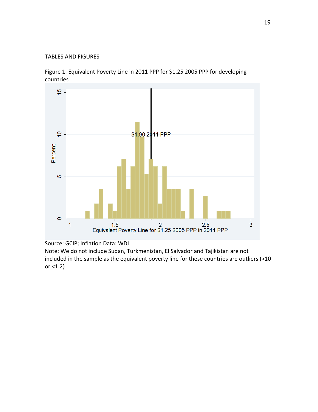## TABLES AND FIGURES







Note: We do not include Sudan, Turkmenistan, El Salvador and Tajikistan are not included in the sample as the equivalent poverty line for these countries are outliers (>10 or  $<$ 1.2)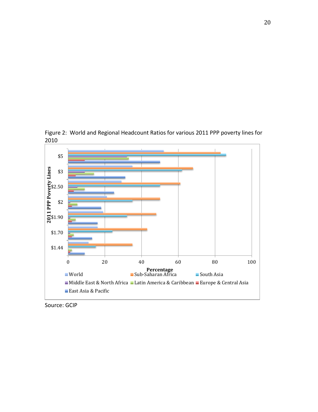

Figure 2: World and Regional Headcount Ratios for various 2011 PPP poverty lines for 2010

Source: GCIP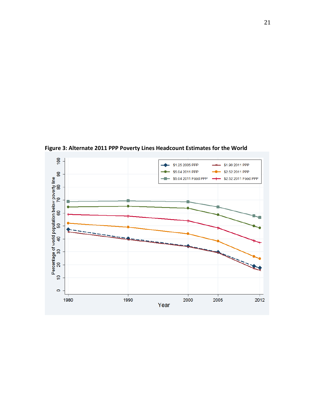

**Figure 3: Alternate 2011 PPP Poverty Lines Headcount Estimates for the World**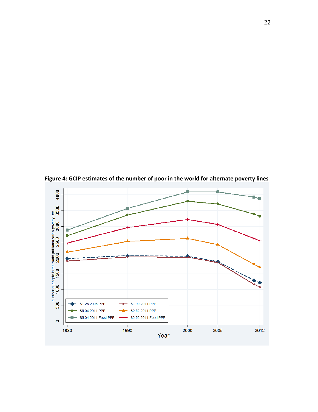

**Figure 4: GCIP estimates of the number of poor in the world for alternate poverty lines**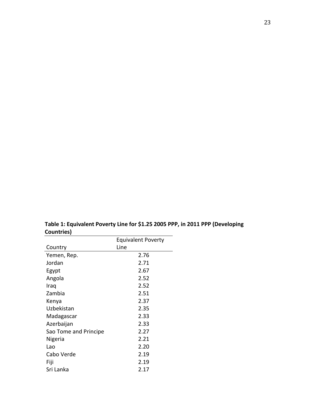|                       | <b>Equivalent Poverty</b> |
|-----------------------|---------------------------|
| Country               | Line                      |
| Yemen, Rep.           | 2.76                      |
| Jordan                | 2.71                      |
| Egypt                 | 2.67                      |
| Angola                | 2.52                      |
| Iraq                  | 2.52                      |
| Zambia                | 2.51                      |
| Kenya                 | 2.37                      |
| Uzbekistan            | 2.35                      |
| Madagascar            | 2.33                      |
| Azerbaijan            | 2.33                      |
| Sao Tome and Principe | 2.27                      |
| Nigeria               | 2.21                      |
| Lao                   | 2.20                      |
| Cabo Verde            | 2.19                      |
| Fiji                  | 2.19                      |
| Sri Lanka             | 2.17                      |

**Table 1: Equivalent Poverty Line for \$1.25 2005 PPP, in 2011 PPP (Developing Countries)**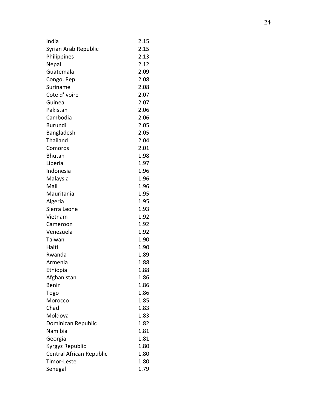| India                    | 2.15 |
|--------------------------|------|
| Syrian Arab Republic     | 2.15 |
| Philippines              | 2.13 |
| Nepal                    | 2.12 |
| Guatemala                | 2.09 |
| Congo, Rep.              | 2.08 |
| Suriname                 | 2.08 |
| Cote d'Ivoire            | 2.07 |
| Guinea                   | 2.07 |
| Pakistan                 | 2.06 |
| Cambodia                 | 2.06 |
| <b>Burundi</b>           | 2.05 |
| Bangladesh               | 2.05 |
| Thailand                 | 2.04 |
| Comoros                  | 2.01 |
| <b>Bhutan</b>            | 1.98 |
| Liberia                  | 1.97 |
| Indonesia                | 1.96 |
| Malaysia                 | 1.96 |
| Mali                     | 1.96 |
| Mauritania               | 1.95 |
| Algeria                  | 1.95 |
| Sierra Leone             | 1.93 |
| Vietnam                  | 1.92 |
| Cameroon                 | 1.92 |
| Venezuela                | 1.92 |
| Taiwan                   | 1.90 |
| Haiti                    | 1.90 |
| Rwanda                   | 1.89 |
| Armenia                  | 1.88 |
| Ethiopia                 | 1.88 |
| Afghanistan              | 1.86 |
| Benin                    | 1.86 |
| Togo                     | 1.86 |
| Morocco                  | 1.85 |
| Chad                     | 1.83 |
| Moldova                  | 1.83 |
| Dominican Republic       | 1.82 |
| Namibia                  | 1.81 |
| Georgia                  | 1.81 |
| Kyrgyz Republic          | 1.80 |
| Central African Republic | 1.80 |
| <b>Timor-Leste</b>       | 1.80 |
| Senegal                  | 1.79 |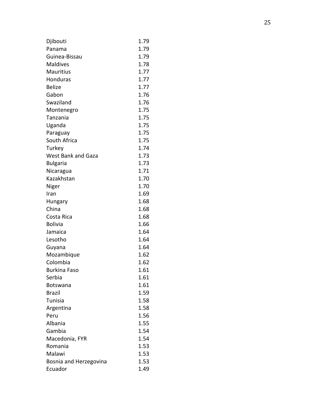| Djibouti                  | 1.79 |
|---------------------------|------|
| Panama                    | 1.79 |
| Guinea-Bissau             | 1.79 |
| <b>Maldives</b>           | 1.78 |
| <b>Mauritius</b>          | 1.77 |
| Honduras                  | 1.77 |
| <b>Belize</b>             | 1.77 |
| Gabon                     | 1.76 |
| Swaziland                 | 1.76 |
| Montenegro                | 1.75 |
| Tanzania                  | 1.75 |
| Uganda                    | 1.75 |
| Paraguay                  | 1.75 |
| South Africa              | 1.75 |
| Turkey                    | 1.74 |
| <b>West Bank and Gaza</b> | 1.73 |
| <b>Bulgaria</b>           | 1.73 |
| Nicaragua                 | 1.71 |
| Kazakhstan                | 1.70 |
| Niger                     | 1.70 |
| Iran                      | 1.69 |
| Hungary                   | 1.68 |
| China                     | 1.68 |
| Costa Rica                | 1.68 |
| <b>Bolivia</b>            | 1.66 |
| Jamaica                   | 1.64 |
| Lesotho                   | 1.64 |
| Guyana                    | 1.64 |
| Mozambique                | 1.62 |
| Colombia                  | 1.62 |
| <b>Burkina Faso</b>       | 1.61 |
| Serbia                    | 1.61 |
| <b>Botswana</b>           | 1.61 |
| <b>Brazil</b>             | 1.59 |
| Tunisia                   | 1.58 |
| Argentina                 | 1.58 |
| Peru                      | 1.56 |
| Albania                   | 1.55 |
| Gambia                    | 1.54 |
| Macedonia, FYR            | 1.54 |
| Romania                   | 1.53 |
| Malawi                    | 1.53 |
| Bosnia and Herzegovina    | 1.53 |
| Ecuador                   | 1.49 |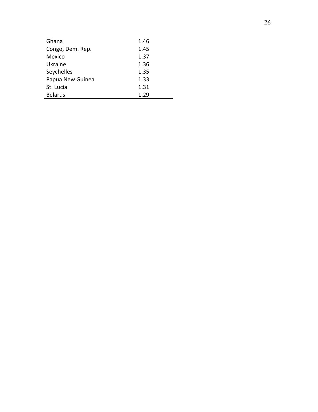| Ghana            | 1.46 |
|------------------|------|
| Congo, Dem. Rep. | 1.45 |
| Mexico           | 1.37 |
| Ukraine          | 1.36 |
| Seychelles       | 1.35 |
| Papua New Guinea | 1.33 |
| St. Lucia        | 1.31 |
| <b>Belarus</b>   | 1.29 |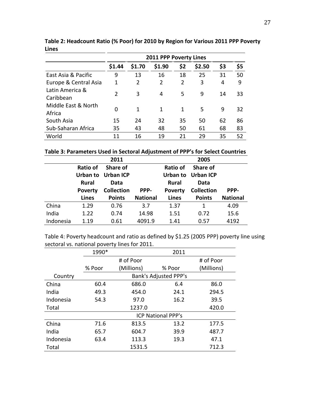|                       | 2011 PPP Poverty Lines |        |        |                |        |     |     |  |  |
|-----------------------|------------------------|--------|--------|----------------|--------|-----|-----|--|--|
|                       | \$1.44                 | \$1.70 | \$1.90 | \$2            | \$2.50 | \$3 | \$5 |  |  |
| East Asia & Pacific   | 9                      | 13     | 16     | 18             | 25     | 31  | 50  |  |  |
| Europe & Central Asia | 1                      | 2      | 2      | $\overline{2}$ | 3      | 4   | 9   |  |  |
| Latin America &       | $\mathfrak z$          | 3      | 4      | 5              | 9      | 14  | 33  |  |  |
| Caribbean             |                        |        |        |                |        |     |     |  |  |
| Middle East & North   | 0                      | 1      | 1      | 1              |        |     |     |  |  |
| Africa                |                        |        |        |                | 5      | 9   | 32  |  |  |
| South Asia            | 15                     | 24     | 32     | 35             | 50     | 62  | 86  |  |  |
| Sub-Saharan Africa    | 35                     | 43     | 48     | 50             | 61     | 68  | 83  |  |  |
| World                 | 11                     | 16     | 19     | 21             | 29     | 35  | 52  |  |  |

**Table 2: Headcount Ratio (% Poor) for 2010 by Region for Various 2011 PPP Poverty Lines**

**Table 3: Parameters Used in Sectoral Adjustment of PPP's for Select Countries**

|           |                | 2011               |                 |                | 2005               |                 |
|-----------|----------------|--------------------|-----------------|----------------|--------------------|-----------------|
|           | Ratio of       | Share of           |                 | Ratio of       | Share of           |                 |
|           |                | Urban to Urban ICP |                 |                | Urban to Urban ICP |                 |
|           | <b>Rural</b>   | Data               |                 | <b>Rural</b>   | Data               |                 |
|           | <b>Poverty</b> | <b>Collection</b>  | PPP-            | <b>Poverty</b> | <b>Collection</b>  | PPP-            |
|           | <b>Lines</b>   | <b>Points</b>      | <b>National</b> | Lines          | <b>Points</b>      | <b>National</b> |
| China     | 1.29           | 0.76               | 3.7             | 1.37           | 1                  | 4.09            |
| India     | 1.22           | 0.74               | 14.98           | 1.51           | 0.72               | 15.6            |
| Indonesia | 1.19           | 0.61               | 4091.9          | 1.41           | 0.57               | 4192            |

Table 4: Poverty headcount and ratio as defined by \$1.25 (2005 PPP) poverty line using sectoral vs. national poverty lines for 2011.

|           | 1990*  | 2011       |                              |            |  |  |  |
|-----------|--------|------------|------------------------------|------------|--|--|--|
|           |        | # of Poor  |                              | # of Poor  |  |  |  |
|           | % Poor | (Millions) | % Poor                       | (Millions) |  |  |  |
| Country   |        |            | <b>Bank's Adjusted PPP's</b> |            |  |  |  |
| China     | 60.4   | 686.0      | 6.4                          | 86.0       |  |  |  |
| India     | 49.3   | 454.0      | 24.1                         | 294.5      |  |  |  |
| Indonesia | 54.3   | 97.0       | 16.2                         | 39.5       |  |  |  |
| Total     |        | 1237.0     |                              | 420.0      |  |  |  |
|           |        |            | <b>ICP National PPP's</b>    |            |  |  |  |
| China     | 71.6   | 813.5      | 13.2                         | 177.5      |  |  |  |
| India     | 65.7   | 604.7      | 39.9                         | 487.7      |  |  |  |
| Indonesia | 63.4   | 113.3      | 19.3                         | 47.1       |  |  |  |
| Total     |        | 1531.5     |                              | 712.3      |  |  |  |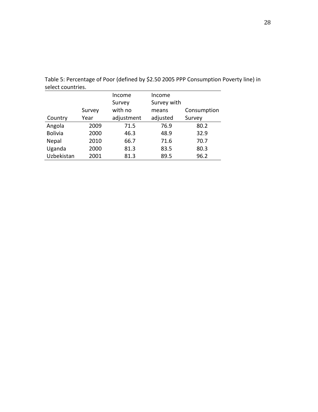|                |        | Income     | Income      |             |
|----------------|--------|------------|-------------|-------------|
|                |        | Survey     | Survey with |             |
|                | Survey | with no    | means       | Consumption |
| Country        | Year   | adjustment | adjusted    | Survey      |
| Angola         | 2009   | 71.5       | 76.9        | 80.2        |
| <b>Bolivia</b> | 2000   | 46.3       | 48.9        | 32.9        |
| Nepal          | 2010   | 66.7       | 71.6        | 70.7        |
| Uganda         | 2000   | 81.3       | 83.5        | 80.3        |
| Uzbekistan     | 2001   | 81.3       | 89.5        | 96.2        |

Table 5: Percentage of Poor (defined by \$2.50 2005 PPP Consumption Poverty line) in select countries.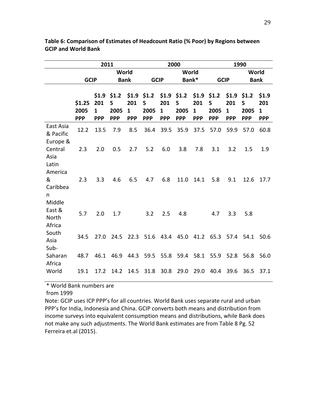|                                        | 2011                         |                                 |                                  |                                 |                                  | 2000                   |                                         |                                 | 1990                               |                        |                                         |                                 |
|----------------------------------------|------------------------------|---------------------------------|----------------------------------|---------------------------------|----------------------------------|------------------------|-----------------------------------------|---------------------------------|------------------------------------|------------------------|-----------------------------------------|---------------------------------|
|                                        |                              |                                 | World                            |                                 |                                  |                        | World                                   |                                 |                                    |                        | World                                   |                                 |
|                                        | <b>GCIP</b>                  |                                 | <b>Bank</b>                      |                                 | <b>GCIP</b>                      |                        | Bank*                                   |                                 |                                    | <b>GCIP</b>            |                                         | <b>Bank</b>                     |
|                                        | \$1.25<br>2005<br><b>PPP</b> | \$1.9<br>201<br>1<br><b>PPP</b> | \$1.2<br>5<br>2005<br><b>PPP</b> | \$1.9<br>201<br>1<br><b>PPP</b> | \$1.2<br>5<br>2005<br><b>PPP</b> | 201<br>1<br><b>PPP</b> | $$1.9$ \$1.2<br>5<br>2005<br><b>PPP</b> | \$1.9<br>201<br>1<br><b>PPP</b> | \$1.2\$<br>5<br>2005<br><b>PPP</b> | 201<br>1<br><b>PPP</b> | $$1.9$ \$1.2<br>5<br>2005<br><b>PPP</b> | \$1.9<br>201<br>1<br><b>PPP</b> |
| East Asia<br>& Pacific<br>Europe &     | 12.2                         | 13.5                            | 7.9                              | 8.5                             | 36.4                             | 39.5                   | 35.9                                    | 37.5                            | 57.0                               | 59.9                   | 57.0                                    | 60.8                            |
| Central<br>Asia                        | 2.3                          | 2.0                             | 0.5                              | 2.7                             | 5.2                              | 6.0                    | 3.8                                     | 7.8                             | 3.1                                | 3.2                    | 1.5                                     | 1.9                             |
| Latin<br>America<br>&<br>Caribbea<br>n | 2.3                          | 3.3                             | 4.6                              | 6.5                             | 4.7                              | 6.8                    | 11.0                                    | 14.1                            | 5.8                                | 9.1                    | 12.6                                    | 17.7                            |
| Middle<br>East &<br>North<br>Africa    | 5.7                          | 2.0                             | 1.7                              |                                 | 3.2                              | 2.5                    | 4.8                                     |                                 | 4.7                                | 3.3                    | 5.8                                     |                                 |
| South<br>Asia                          | 34.5                         | 27.0                            | 24.5                             | 22.3                            | 51.6                             |                        | 43.4 45.0                               | 41.2                            | 65.3                               | 57.4                   | 54.1                                    | 50.6                            |
| Sub-<br>Saharan<br>Africa              | 48.7                         | 46.1                            | 46.9                             | 44.3                            | 59.5                             | 55.8                   | 59.4                                    | 58.1                            | 55.9                               | 52.8                   | 56.8                                    | 56.0                            |
| World                                  | 19.1                         | 17.2                            | 14.2                             | 14.5                            | 31.8                             | 30.8                   | 29.0                                    | 29.0                            | 40.4                               | 39.6                   | 36.5                                    | 37.1                            |

**Table 6: Comparison of Estimates of Headcount Ratio (% Poor) by Regions between GCIP and World Bank**

\* World Bank numbers are

from 1999

Note: GCIP uses ICP PPP's for all countries. World Bank uses separate rural and urban PPP's for India, Indonesia and China. GCIP converts both means and distribution from income surveys into equivalent consumption means and distributions, while Bank does not make any such adjustments. The World Bank estimates are from Table 8 Pg. 52 Ferreira et.al (2015).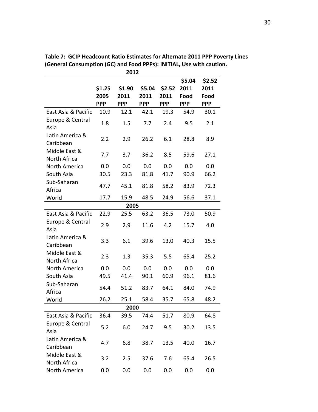|                               |                              | 2012                         |                              |                              |                                      |                                      |  |  |  |
|-------------------------------|------------------------------|------------------------------|------------------------------|------------------------------|--------------------------------------|--------------------------------------|--|--|--|
|                               | \$1.25<br>2005<br><b>PPP</b> | \$1.90<br>2011<br><b>PPP</b> | \$5.04<br>2011<br><b>PPP</b> | \$2.52<br>2011<br><b>PPP</b> | \$5.04<br>2011<br>Food<br><b>PPP</b> | \$2.52<br>2011<br>Food<br><b>PPP</b> |  |  |  |
| East Asia & Pacific           | 10.9                         | 12.1                         | 42.1                         | 19.3                         | 54.9                                 | 30.1                                 |  |  |  |
| Europe & Central<br>Asia      | 1.8                          | 1.5                          | 7.7                          | 2.4                          | 9.5                                  | 2.1                                  |  |  |  |
| Latin America &<br>Caribbean  | 2.2                          | 2.9                          | 26.2                         | 6.1                          | 28.8                                 | 8.9                                  |  |  |  |
| Middle East &<br>North Africa | 7.7                          | 3.7                          | 36.2                         | 8.5                          | 59.6                                 | 27.1                                 |  |  |  |
| North America                 | 0.0                          | 0.0                          | 0.0                          | 0.0                          | 0.0                                  | 0.0                                  |  |  |  |
| South Asia                    | 30.5                         | 23.3                         | 81.8                         | 41.7                         | 90.9                                 | 66.2                                 |  |  |  |
| Sub-Saharan<br>Africa         | 47.7                         | 45.1                         | 81.8                         | 58.2                         | 83.9                                 | 72.3                                 |  |  |  |
| World                         | 17.7                         | 15.9                         | 48.5                         | 24.9                         | 56.6                                 | 37.1                                 |  |  |  |
|                               |                              | 2005                         |                              |                              |                                      |                                      |  |  |  |
| East Asia & Pacific           | 22.9                         | 25.5                         | 63.2                         | 36.5                         | 73.0                                 | 50.9                                 |  |  |  |
| Europe & Central<br>Asia      | 2.9                          | 2.9                          | 11.6                         | 4.2                          | 15.7                                 | 4.0                                  |  |  |  |
| Latin America &<br>Caribbean  | 3.3                          | 6.1                          | 39.6                         | 13.0                         | 40.3                                 | 15.5                                 |  |  |  |
| Middle East &<br>North Africa | 2.3                          | 1.3                          | 35.3                         | 5.5                          | 65.4                                 | 25.2                                 |  |  |  |
| North America                 | 0.0                          | 0.0                          | 0.0                          | 0.0                          | 0.0                                  | 0.0                                  |  |  |  |
| South Asia                    | 49.5                         | 41.4                         | 90.1                         | 60.9                         | 96.1                                 | 81.6                                 |  |  |  |
| Sub-Saharan<br>Africa         | 54.4                         | 51.2                         | 83.7                         | 64.1                         | 84.0                                 | 74.9                                 |  |  |  |
| World                         | 26.2                         | 25.1                         | 58.4                         | 35.7                         | 65.8                                 | 48.2                                 |  |  |  |
| 2000                          |                              |                              |                              |                              |                                      |                                      |  |  |  |
| East Asia & Pacific           | 36.4                         | 39.5                         | 74.4                         | 51.7                         | 80.9                                 | 64.8                                 |  |  |  |
| Europe & Central<br>Asia      | 5.2                          | 6.0                          | 24.7                         | 9.5                          | 30.2                                 | 13.5                                 |  |  |  |
| Latin America &<br>Caribbean  | 4.7                          | 6.8                          | 38.7                         | 13.5                         | 40.0                                 | 16.7                                 |  |  |  |
| Middle East &<br>North Africa | 3.2                          | 2.5                          | 37.6                         | 7.6                          | 65.4                                 | 26.5                                 |  |  |  |
| North America                 | $0.0\,$                      | 0.0                          | 0.0                          | 0.0                          | 0.0                                  | 0.0                                  |  |  |  |

**Table 7: GCIP Headcount Ratio Estimates for Alternate 2011 PPP Poverty Lines (General Consumption (GC) and Food PPPs): INITIAL, Use with caution.**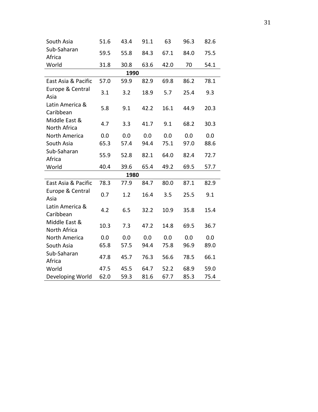| South Asia                    | 51.6 | 43.4 | 91.1 | 63   | 96.3 | 82.6 |
|-------------------------------|------|------|------|------|------|------|
| Sub-Saharan<br>Africa         | 59.5 | 55.8 | 84.3 | 67.1 | 84.0 | 75.5 |
| World                         | 31.8 | 30.8 | 63.6 | 42.0 | 70   | 54.1 |
|                               |      | 1990 |      |      |      |      |
| East Asia & Pacific           | 57.0 | 59.9 | 82.9 | 69.8 | 86.2 | 78.1 |
| Europe & Central<br>Asia      | 3.1  | 3.2  | 18.9 | 5.7  | 25.4 | 9.3  |
| Latin America &<br>Caribbean  | 5.8  | 9.1  | 42.2 | 16.1 | 44.9 | 20.3 |
| Middle East &<br>North Africa | 4.7  | 3.3  | 41.7 | 9.1  | 68.2 | 30.3 |
| North America                 | 0.0  | 0.0  | 0.0  | 0.0  | 0.0  | 0.0  |
| South Asia                    | 65.3 | 57.4 | 94.4 | 75.1 | 97.0 | 88.6 |
| Sub-Saharan<br>Africa         | 55.9 | 52.8 | 82.1 | 64.0 | 82.4 | 72.7 |
| World                         | 40.4 | 39.6 | 65.4 | 49.2 | 69.5 | 57.7 |
|                               |      | 1980 |      |      |      |      |
| East Asia & Pacific           | 78.3 | 77.9 | 84.7 | 80.0 | 87.1 | 82.9 |
| Europe & Central<br>Asia      | 0.7  | 1.2  | 16.4 | 3.5  | 25.5 | 9.1  |
| Latin America &<br>Caribbean  | 4.2  | 6.5  | 32.2 | 10.9 | 35.8 | 15.4 |
| Middle East &<br>North Africa | 10.3 | 7.3  | 47.2 | 14.8 | 69.5 | 36.7 |
| North America                 | 0.0  | 0.0  | 0.0  | 0.0  | 0.0  | 0.0  |
| South Asia                    | 65.8 | 57.5 | 94.4 | 75.8 | 96.9 | 89.0 |
| Sub-Saharan<br>Africa         | 47.8 | 45.7 | 76.3 | 56.6 | 78.5 | 66.1 |
| World                         | 47.5 | 45.5 | 64.7 | 52.2 | 68.9 | 59.0 |
| Developing World              | 62.0 | 59.3 | 81.6 | 67.7 | 85.3 | 75.4 |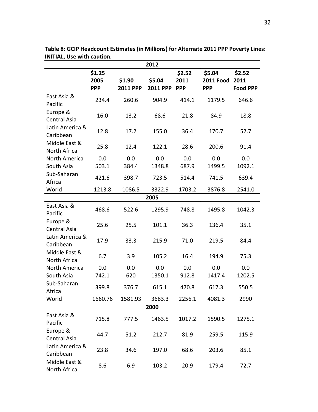|                                 |                              |                           | 2012                      |                              |                                          |                                   |  |  |
|---------------------------------|------------------------------|---------------------------|---------------------------|------------------------------|------------------------------------------|-----------------------------------|--|--|
|                                 | \$1.25<br>2005<br><b>PPP</b> | \$1.90<br><b>2011 PPP</b> | \$5.04<br><b>2011 PPP</b> | \$2.52<br>2011<br><b>PPP</b> | \$5.04<br><b>2011 Food</b><br><b>PPP</b> | \$2.52<br>2011<br><b>Food PPP</b> |  |  |
| East Asia &<br>Pacific          | 234.4                        | 260.6                     | 904.9                     | 414.1                        | 1179.5                                   | 646.6                             |  |  |
| Europe &<br><b>Central Asia</b> | 16.0                         | 13.2                      | 68.6                      | 21.8                         | 84.9                                     | 18.8                              |  |  |
| Latin America &<br>Caribbean    | 12.8                         | 17.2                      | 155.0                     | 36.4                         | 170.7                                    | 52.7                              |  |  |
| Middle East &<br>North Africa   | 25.8                         | 12.4                      | 122.1                     | 28.6                         | 200.6                                    | 91.4                              |  |  |
| North America<br>South Asia     | 0.0<br>503.1                 | 0.0<br>384.4              | 0.0<br>1348.8             | 0.0<br>687.9                 | 0.0<br>1499.5                            | 0.0<br>1092.1                     |  |  |
| Sub-Saharan<br>Africa           | 421.6                        | 398.7                     | 723.5                     | 514.4                        | 741.5                                    | 639.4                             |  |  |
| World                           | 1213.8                       | 1086.5                    | 3322.9                    | 1703.2                       | 3876.8                                   | 2541.0                            |  |  |
|                                 |                              |                           | 2005                      |                              |                                          |                                   |  |  |
| East Asia &<br>Pacific          | 468.6                        | 522.6                     | 1295.9                    | 748.8                        | 1495.8                                   | 1042.3                            |  |  |
| Europe &<br><b>Central Asia</b> | 25.6                         | 25.5                      | 101.1                     | 36.3                         | 136.4                                    | 35.1                              |  |  |
| Latin America &<br>Caribbean    | 17.9                         | 33.3                      | 215.9                     | 71.0                         | 219.5                                    | 84.4                              |  |  |
| Middle East &<br>North Africa   | 6.7                          | 3.9                       | 105.2                     | 16.4                         | 194.9                                    | 75.3                              |  |  |
| North America                   | 0.0                          | 0.0                       | 0.0                       | 0.0                          | 0.0                                      | 0.0                               |  |  |
| South Asia                      | 742.1                        | 620                       | 1350.1                    | 912.8                        | 1417.4                                   | 1202.5                            |  |  |
| Sub-Saharan<br>Africa           | 399.8                        | 376.7                     | 615.1                     | 470.8                        | 617.3                                    | 550.5                             |  |  |
| World                           | 1660.76                      | 1581.93                   | 3683.3                    | 2256.1                       | 4081.3                                   | 2990                              |  |  |
| 2000                            |                              |                           |                           |                              |                                          |                                   |  |  |
| East Asia &<br>Pacific          | 715.8                        | 777.5                     | 1463.5                    | 1017.2                       | 1590.5                                   | 1275.1                            |  |  |
| Europe &<br><b>Central Asia</b> | 44.7                         | 51.2                      | 212.7                     | 81.9                         | 259.5                                    | 115.9                             |  |  |
| Latin America &<br>Caribbean    | 23.8                         | 34.6                      | 197.0                     | 68.6                         | 203.6                                    | 85.1                              |  |  |
| Middle East &<br>North Africa   | 8.6                          | 6.9                       | 103.2                     | 20.9                         | 179.4                                    | 72.7                              |  |  |

**Table 8: GCIP Headcount Estimates (in Millions) for Alternate 2011 PPP Poverty Lines: INITIAL, Use with caution.**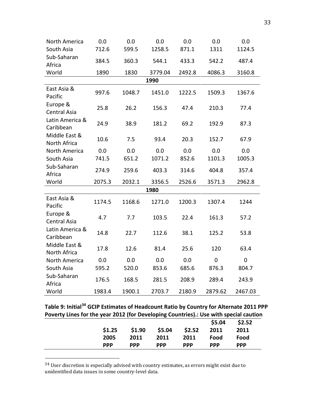| North America                   | 0.0    | 0.0    | 0.0     | 0.0     | 0.0         | 0.0         |
|---------------------------------|--------|--------|---------|---------|-------------|-------------|
| South Asia                      | 712.6  | 599.5  | 1258.5  | 871.1   | 1311        | 1124.5      |
| Sub-Saharan                     | 384.5  | 360.3  | 544.1   | 433.3   | 542.2       | 487.4       |
| Africa                          |        |        |         |         |             |             |
| World                           | 1890   | 1830   | 3779.04 | 2492.8  | 4086.3      | 3160.8      |
|                                 |        |        | 1990    |         |             |             |
| East Asia &<br>Pacific          | 997.6  | 1048.7 | 1451.0  | 1222.5  | 1509.3      | 1367.6      |
| Europe &<br><b>Central Asia</b> | 25.8   | 26.2   | 156.3   | 47.4    | 210.3       | 77.4        |
| Latin America &<br>Caribbean    | 24.9   | 38.9   | 181.2   | 69.2    | 192.9       | 87.3        |
| Middle East &<br>North Africa   | 10.6   | 7.5    | 93.4    | 20.3    | 152.7       | 67.9        |
| North America                   | 0.0    | 0.0    | 0.0     | 0.0     | 0.0         | 0.0         |
| South Asia                      | 741.5  | 651.2  | 1071.2  | 852.6   | 1101.3      | 1005.3      |
| Sub-Saharan<br>Africa           | 274.9  | 259.6  | 403.3   | 314.6   | 404.8       | 357.4       |
| World                           | 2075.3 | 2032.1 | 3356.5  | 2526.6  | 3571.3      | 2962.8      |
|                                 |        |        | 1980    |         |             |             |
| East Asia &<br>Pacific          | 1174.5 | 1168.6 | 1271.0  | 1200.3  | 1307.4      | 1244        |
| Europe &<br><b>Central Asia</b> | 4.7    | 7.7    | 103.5   | 22.4    | 161.3       | 57.2        |
| Latin America &<br>Caribbean    | 14.8   | 22.7   | 112.6   | 38.1    | 125.2       | 53.8        |
| Middle East &<br>North Africa   | 17.8   | 12.6   | 81.4    | 25.6    | 120         | 63.4        |
| North America                   | 0.0    | 0.0    | 0.0     | $0.0\,$ | $\mathbf 0$ | $\mathbf 0$ |
| South Asia                      | 595.2  | 520.0  | 853.6   | 685.6   | 876.3       | 804.7       |
| Sub-Saharan<br>Africa           | 176.5  | 168.5  | 281.5   | 208.9   | 289.4       | 243.9       |
| World                           | 1983.4 | 1900.1 | 2703.7  | 2180.9  | 2879.62     | 2467.03     |

| Table 9: Initial <sup>34</sup> GCIP Estimates of Headcount Ratio by Country for Alternate 2011 PPP |
|----------------------------------------------------------------------------------------------------|
| Poverty Lines for the year 2012 (for Developing Countries).: Use with special caution              |

|            |            |            |            | \$5.04     | \$2.52     |
|------------|------------|------------|------------|------------|------------|
| \$1.25     | \$1.90     | \$5.04     | \$2.52     | 2011       | 2011       |
| 2005       | 2011       | 2011       | 2011       | Food       | Food       |
| <b>PPP</b> | <b>PPP</b> | <b>PPP</b> | <b>PPP</b> | <b>PPP</b> | <b>PPP</b> |
|            |            |            |            |            |            |

<span id="page-32-0"></span> $\frac{34}{34}$  User discretion is especially advised with country estimates, as errors might exist due to unidentified data issues in some country-level data.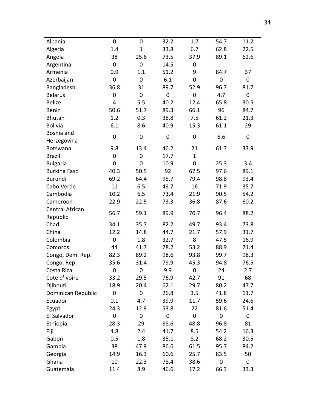| Albania                | 0                | 0              | 32.2        | 1.7            | 54.7           | 11.2        |
|------------------------|------------------|----------------|-------------|----------------|----------------|-------------|
| Algeria                | 1.4              | $\mathbf{1}$   | 33.8        | 6.7            | 62.8           | 22.5        |
| Angola                 | 38               | 25.6           | 73.5        | 37.9           | 89.1           | 62.6        |
| Argentina              | $\boldsymbol{0}$ | 0              | 14.5        | $\mathbf 0$    |                |             |
| Armenia                | 0.9              | 1.1            | 51.2        | 9              | 84.7           | 37          |
| Azerbaijan             | $\boldsymbol{0}$ | $\overline{0}$ | 6.1         | $\overline{0}$ | $\overline{0}$ | $\mathbf 0$ |
| Bangladesh             | 36.8             | 31             | 89.7        | 52.9           | 96.7           | 81.7        |
| <b>Belarus</b>         | 0                | $\overline{0}$ | $\mathbf 0$ | $\mathbf 0$    | 4.7            | 0           |
| <b>Belize</b>          | 4                | 5.5            | 40.2        | 12.4           | 65.8           | 30.5        |
| Benin                  | 50.6             | 51.7           | 89.3        | 66.1           | 96             | 84.7        |
| <b>Bhutan</b>          | 1.2              | 0.3            | 38.8        | 7.5            | 61.2           | 21.3        |
| <b>Bolivia</b>         | 6.1              | 8.6            | 40.9        | 15.3           | 61.1           | 29          |
| Bosnia and             | $\mathbf 0$      | $\mathbf 0$    | $\mathbf 0$ | $\mathbf 0$    | 6.6            | $\pmb{0}$   |
| Herzegovina            |                  |                |             |                |                |             |
| Botswana               | 9.8              | 13.4           | 46.2        | 21             | 61.7           | 33.9        |
| <b>Brazil</b>          | 0                | 0              | 17.7        | $\mathbf{1}$   |                |             |
| <b>Bulgaria</b>        | $\mathbf 0$      | 0              | 10.9        | $\mathbf 0$    | 25.3           | 3.4         |
| <b>Burkina Faso</b>    | 40.3             | 50.5           | 92          | 67.5           | 97.6           | 89.1        |
| <b>Burundi</b>         | 69.2             | 64.4           | 95.7        | 79.4           | 98.8           | 93.4        |
| Cabo Verde             | 11               | 6.5            | 49.7        | 16             | 71.9           | 35.7        |
| Cambodia               | 10.2             | 6.5            | 73.4        | 21.9           | 90.5           | 54.2        |
| Cameroon               | 22.9             | 22.5           | 73.3        | 36.8           | 87.6           | 60.2        |
| <b>Central African</b> | 56.7             |                |             | 70.7           |                | 88.2        |
| Republic               |                  | 59.1           | 89.9        |                | 96.4           |             |
| Chad                   | 34.1             | 35.7           | 82.2        | 49.7           | 93.4           | 73.8        |
| China                  | 12.2             | 14.8           | 44.7        | 21.7           | 57.9           | 31.7        |
| Colombia               | $\overline{0}$   | 1.8            | 32.7        | 8              | 47.5           | 16.9        |
| Comoros                | 44               | 41.7           | 78.2        | 53.2           | 88.9           | 71.4        |
| Congo, Dem. Rep.       | 82.3             | 89.2           | 98.6        | 93.8           | 99.7           | 98.3        |
| Congo, Rep.            | 35.6             | 31.4           | 79.9        | 45.3           | 94.8           | 76.5        |
| Costa Rica             | $\mathbf 0$      | $\mathbf 0$    | 9.9         | $\mathbf 0$    | 24             | 2.7         |
| Cote d'Ivoire          | 33.2             | 29.5           | 76.9        | 42.7           | 91             | 68          |
| Djibouti               | 18.9             | 20.4           | 62.1        | 29.7           | 80.2           | 47.7        |
| Dominican Republic     | 0                | 0              | 26.8        | 3.5            | 41.8           | 11.7        |
| Ecuador                | 0.1              | 4.7            | 39.9        | 11.7           | 59.6           | 24.6        |
| Egypt                  | 24.3             | 12.9           | 53.8        | 22             | 81.6           | 51.4        |
| El Salvador            | $\mathbf 0$      | 0              | $\mathbf 0$ | $\mathbf 0$    | $\mathbf 0$    | 0           |
| Ethiopia               | 28.3             | 29             | 88.6        | 48.8           | 96.8           | 81          |
| Fiji                   | 4.8              | 2.4            | 41.7        | 8.5            | 54.2           | 16.3        |
| Gabon                  | 0.5              | 1.8            | 35.1        | 8.2            | 68.2           | 30.5        |
| Gambia                 | 38               | 47.9           | 86.6        | 61.5           | 95.7           | 84.2        |
| Georgia                | 14.9             | 16.3           | 60.6        | 25.7           | 83.5           | 50          |
| Ghana                  | 10               | 22.3           | 78.4        | 38.6           | $\pmb{0}$      | 0           |
| Guatemala              | 11.4             | 8.9            | 46.6        | 17.2           | 66.3           | 33.3        |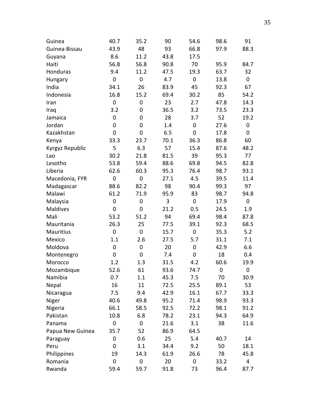| Guinea           | 40.7             | 35.2             | 90   | 54.6        | 98.6        | 91          |
|------------------|------------------|------------------|------|-------------|-------------|-------------|
| Guinea-Bissau    | 43.9             | 48               | 93   | 66.8        | 97.9        | 88.3        |
| Guyana           | 8.6              | 11.2             | 43.8 | 17.5        |             |             |
| Haiti            | 56.8             | 56.8             | 90.8 | 70          | 95.9        | 84.7        |
| Honduras         | 9.4              | 11.2             | 47.5 | 19.3        | 63.7        | 32          |
| Hungary          | $\overline{0}$   | $\mathbf 0$      | 4.7  | $\mathbf 0$ | 13.8        | $\mathbf 0$ |
| India            | 34.1             | 26               | 83.9 | 45          | 92.3        | 67          |
| Indonesia        | 16.8             | 15.2             | 69.4 | 30.2        | 85          | 54.2        |
| Iran             | $\mathbf 0$      | $\boldsymbol{0}$ | 23   | 2.7         | 47.8        | 14.3        |
| Iraq             | 3.2              | 0                | 36.5 | 3.2         | 73.5        | 23.3        |
| Jamaica          | $\boldsymbol{0}$ | $\mathbf 0$      | 28   | 3.7         | 52          | 19.2        |
| Jordan           | $\mathbf 0$      | $\mathbf 0$      | 1.4  | $\pmb{0}$   | 27.6        | $\pmb{0}$   |
| Kazakhstan       | $\mathbf 0$      | $\mathbf 0$      | 6.5  | $\mathbf 0$ | 17.8        | $\mathbf 0$ |
| Kenya            | 33.3             | 23.7             | 70.1 | 36.3        | 86.8        | 60          |
| Kyrgyz Republic  | 5                | 6.3              | 57   | 15.4        | 87.6        | 48.2        |
| Lao              | 30.2             | 21.8             | 81.5 | 39          | 95.3        | 77          |
| Lesotho          | 53.8             | 59.4             | 88.6 | 69.8        | 94.5        | 82.8        |
| Liberia          | 62.6             | 60.3             | 95.3 | 76.4        | 98.7        | 93.1        |
| Macedonia, FYR   | $\boldsymbol{0}$ | $\mathbf 0$      | 27.1 | 4.5         | 39.5        | 11.4        |
| Madagascar       | 88.6             | 82.2             | 98   | 90.4        | 99.3        | 97          |
| Malawi           | 61.2             | 71.9             | 95.9 | 83          | 98.7        | 94.8        |
| Malaysia         | $\mathbf 0$      | $\mathbf 0$      | 3    | $\mathbf 0$ | 17.9        | $\pmb{0}$   |
| Maldives         | $\mathbf 0$      | $\mathbf 0$      | 21.2 | 0.5         | 24.5        | 1.9         |
| Mali             | 53.2             | 51.2             | 94   | 69.4        | 98.4        | 87.8        |
| Mauritania       | 26.3             | 25               | 77.5 | 39.1        | 92.3        | 68.5        |
| <b>Mauritius</b> | $\mathbf 0$      | 0                | 15.7 | $\mathbf 0$ | 35.3        | 5.2         |
| Mexico           | 1.1              | 2.6              | 27.5 | 5.7         | 31.1        | 7.1         |
| Moldova          | $\pmb{0}$        | $\mathbf 0$      | 20   | 0           | 42.9        | 6.6         |
| Montenegro       | $\mathbf 0$      | $\mathbf 0$      | 7.4  | 0           | 18          | 0.4         |
| Morocco          | 1.2              | 1.3              | 31.5 | 4.2         | 60.6        | 19.9        |
| Mozambique       | 52.6             | 61               | 93.6 | 74.7        | $\mathbf 0$ | 0           |
| Namibia          | 0.7              | 1.1              | 45.3 | 7.5         | 70          | 30.9        |
| Nepal            | 16               | 11               | 72.5 | 25.5        | 89.1        | 53          |
| Nicaragua        | 7.5              | 9.4              | 42.9 | 16.1        | 67.7        | 33.3        |
| Niger            | 40.6             | 49.8             | 95.2 | 71.4        | 98.9        | 93.3        |
| Nigeria          | 66.1             | 58.5             | 92.5 | 72.2        | 98.1        | 91.2        |
| Pakistan         | 10.8             | 6.8              | 78.2 | 23.1        | 94.3        | 64.9        |
| Panama           | $\mathbf 0$      | 0                | 21.6 | 3.1         | 38          | 11.6        |
| Papua New Guinea | 35.7             | 52               | 86.9 | 64.5        |             |             |
| Paraguay         | 0                | 0.6              | 25   | 5.4         | 40.7        | 14          |
| Peru             | 0                | 3.1              | 34.4 | 9.2         | 50          | 18.1        |
| Philippines      | 19               | 14.3             | 61.9 | 26.6        | 78          | 45.8        |
| Romania          | 0                | $\mathbf 0$      | 20   | 0           | 33.2        | 4           |
| Rwanda           | 59.4             | 59.7             | 91.8 | 73          | 96.4        | 87.7        |